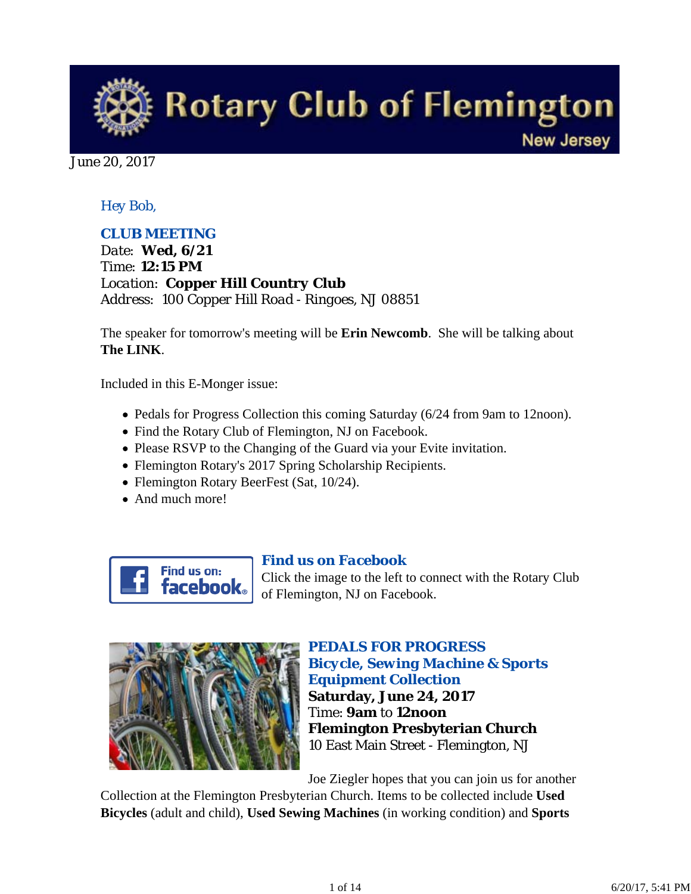

June 20, 2017

# *Hey Bob,*

# *CLUB MEETING*

*Date: Wed, 6/21 Time: 12:15 PM Location: Copper Hill Country Club Address: 100 Copper Hill Road - Ringoes, NJ 08851*

The speaker for tomorrow's meeting will be **Erin Newcomb**. She will be talking about **The LINK**.

Included in this E-Monger issue:

- Pedals for Progress Collection this coming Saturday (6/24 from 9am to 12noon).
- Find the Rotary Club of Flemington, NJ on Facebook.
- Please RSVP to the Changing of the Guard via your Evite invitation.
- Flemington Rotary's 2017 Spring Scholarship Recipients.
- Flemington Rotary BeerFest (Sat, 10/24).
- And much more!



## *Find us on Facebook*

Click the image to the left to connect with the Rotary Club of Flemington, NJ on Facebook.



# *PEDALS FOR PROGRESS Bicycle, Sewing Machine & Sports Equipment Collection* **Saturday, June 24, 2017** Time: **9am** to **12noon Flemington Presbyterian Church** 10 East Main Street - Flemington, NJ

Joe Ziegler hopes that you can join us for another

Collection at the Flemington Presbyterian Church. Items to be collected include **Used Bicycles** (adult and child), **Used Sewing Machines** (in working condition) and **Sports**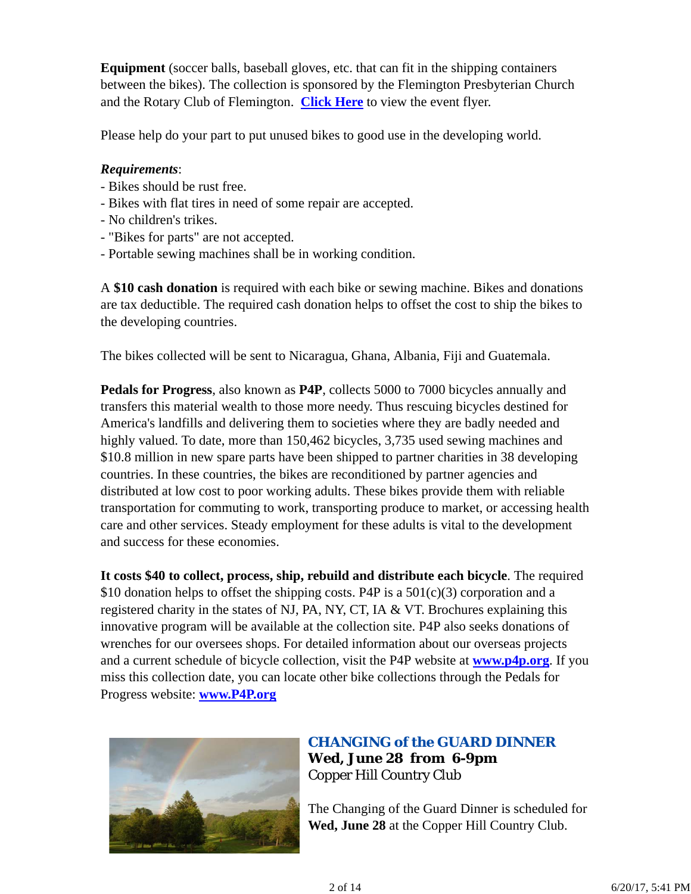**Equipment** (soccer balls, baseball gloves, etc. that can fit in the shipping containers between the bikes). The collection is sponsored by the Flemington Presbyterian Church and the Rotary Club of Flemington. **Click Here** to view the event flyer.

Please help do your part to put unused bikes to good use in the developing world.

## *Requirements*:

- Bikes should be rust free.
- Bikes with flat tires in need of some repair are accepted.
- No children's trikes.
- "Bikes for parts" are not accepted.
- Portable sewing machines shall be in working condition.

A **\$10 cash donation** is required with each bike or sewing machine. Bikes and donations are tax deductible. The required cash donation helps to offset the cost to ship the bikes to the developing countries.

The bikes collected will be sent to Nicaragua, Ghana, Albania, Fiji and Guatemala.

**Pedals for Progress**, also known as **P4P**, collects 5000 to 7000 bicycles annually and transfers this material wealth to those more needy. Thus rescuing bicycles destined for America's landfills and delivering them to societies where they are badly needed and highly valued. To date, more than 150,462 bicycles, 3,735 used sewing machines and \$10.8 million in new spare parts have been shipped to partner charities in 38 developing countries. In these countries, the bikes are reconditioned by partner agencies and distributed at low cost to poor working adults. These bikes provide them with reliable transportation for commuting to work, transporting produce to market, or accessing health care and other services. Steady employment for these adults is vital to the development and success for these economies.

**It costs \$40 to collect, process, ship, rebuild and distribute each bicycle**. The required \$10 donation helps to offset the shipping costs. P4P is a  $501(c)(3)$  corporation and a registered charity in the states of NJ, PA, NY, CT, IA & VT. Brochures explaining this innovative program will be available at the collection site. P4P also seeks donations of wrenches for our oversees shops. For detailed information about our overseas projects and a current schedule of bicycle collection, visit the P4P website at **www.p4p.org**. If you miss this collection date, you can locate other bike collections through the Pedals for Progress website: **www.P4P.org**



# *CHANGING of the GUARD DINNER* **Wed, June 28 from 6-9pm** Copper Hill Country Club

The Changing of the Guard Dinner is scheduled for **Wed, June 28** at the Copper Hill Country Club.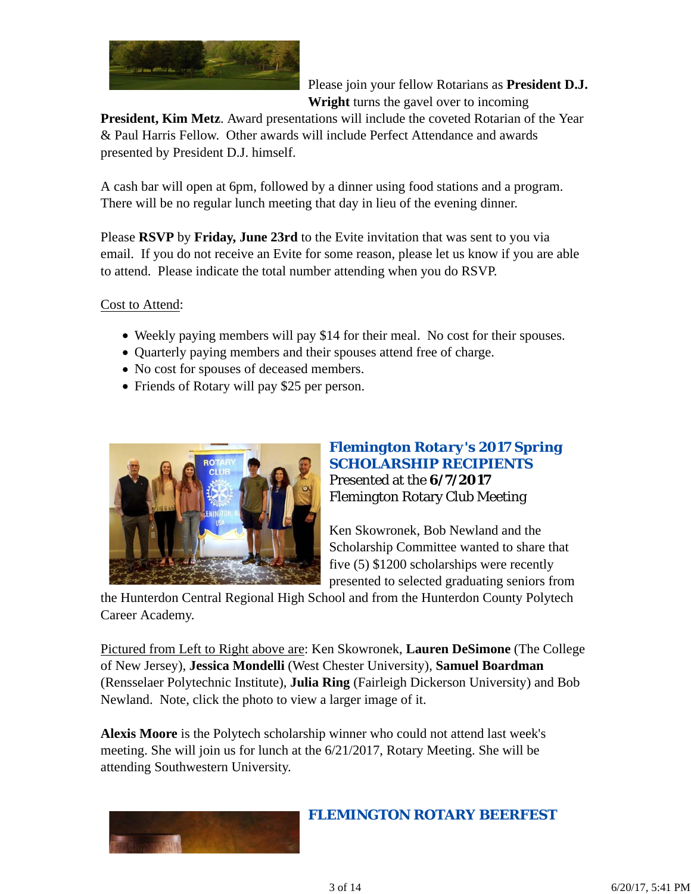

Please join your fellow Rotarians as **President D.J. Wright** turns the gavel over to incoming

**President, Kim Metz**. Award presentations will include the coveted Rotarian of the Year & Paul Harris Fellow. Other awards will include Perfect Attendance and awards presented by President D.J. himself.

A cash bar will open at 6pm, followed by a dinner using food stations and a program. There will be no regular lunch meeting that day in lieu of the evening dinner.

Please **RSVP** by **Friday, June 23rd** to the Evite invitation that was sent to you via email. If you do not receive an Evite for some reason, please let us know if you are able to attend. Please indicate the total number attending when you do RSVP.

Cost to Attend:

- Weekly paying members will pay \$14 for their meal. No cost for their spouses.
- Quarterly paying members and their spouses attend free of charge.
- No cost for spouses of deceased members.
- Friends of Rotary will pay \$25 per person.



# *Flemington Rotary's 2017 Spring SCHOLARSHIP RECIPIENTS* Presented at the **6/7/2017** Flemington Rotary Club Meeting

Ken Skowronek, Bob Newland and the Scholarship Committee wanted to share that five (5) \$1200 scholarships were recently presented to selected graduating seniors from

the Hunterdon Central Regional High School and from the Hunterdon County Polytech Career Academy.

Pictured from Left to Right above are: Ken Skowronek, **Lauren DeSimone** (The College of New Jersey), **Jessica Mondelli** (West Chester University), **Samuel Boardman** (Rensselaer Polytechnic Institute), **Julia Ring** (Fairleigh Dickerson University) and Bob Newland. Note, click the photo to view a larger image of it.

**Alexis Moore** is the Polytech scholarship winner who could not attend last week's meeting. She will join us for lunch at the 6/21/2017, Rotary Meeting. She will be attending Southwestern University.



*FLEMINGTON ROTARY BEERFEST*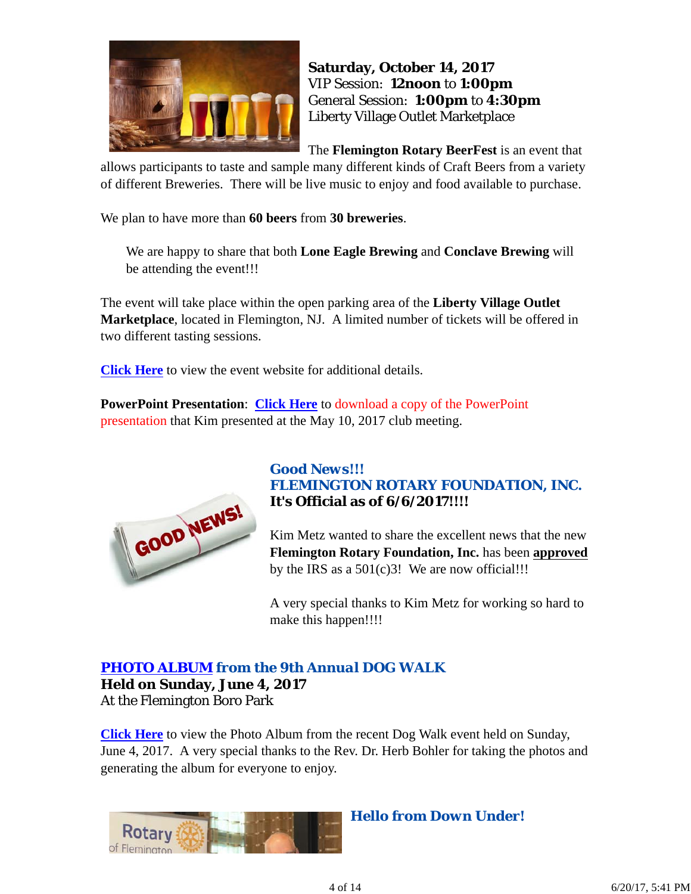

**Saturday, October 14, 2017** VIP Session: **12noon** to **1:00pm** General Session: **1:00pm** to **4:30pm** Liberty Village Outlet Marketplace

The **Flemington Rotary BeerFest** is an event that

allows participants to taste and sample many different kinds of Craft Beers from a variety of different Breweries. There will be live music to enjoy and food available to purchase.

We plan to have more than **60 beers** from **30 breweries**.

We are happy to share that both **Lone Eagle Brewing** and **Conclave Brewing** will be attending the event!!!

The event will take place within the open parking area of the **Liberty Village Outlet Marketplace**, located in Flemington, NJ. A limited number of tickets will be offered in two different tasting sessions.

**Click Here** to view the event website for additional details.

**PowerPoint Presentation**: **Click Here** to download a copy of the PowerPoint presentation that Kim presented at the May 10, 2017 club meeting.



## *Good News!!! FLEMINGTON ROTARY FOUNDATION, INC.* **It's Official as of 6/6/2017!!!!**

Kim Metz wanted to share the excellent news that the new **Flemington Rotary Foundation, Inc.** has been **approved** by the IRS as a  $501(c)3!$  We are now official!!!

A very special thanks to Kim Metz for working so hard to make this happen!!!!

# *PHOTO ALBUM from the 9th Annual DOG WALK*

**Held on Sunday, June 4, 2017** At the Flemington Boro Park

**Click Here** to view the Photo Album from the recent Dog Walk event held on Sunday, June 4, 2017. A very special thanks to the Rev. Dr. Herb Bohler for taking the photos and generating the album for everyone to enjoy.



*Hello from Down Under!*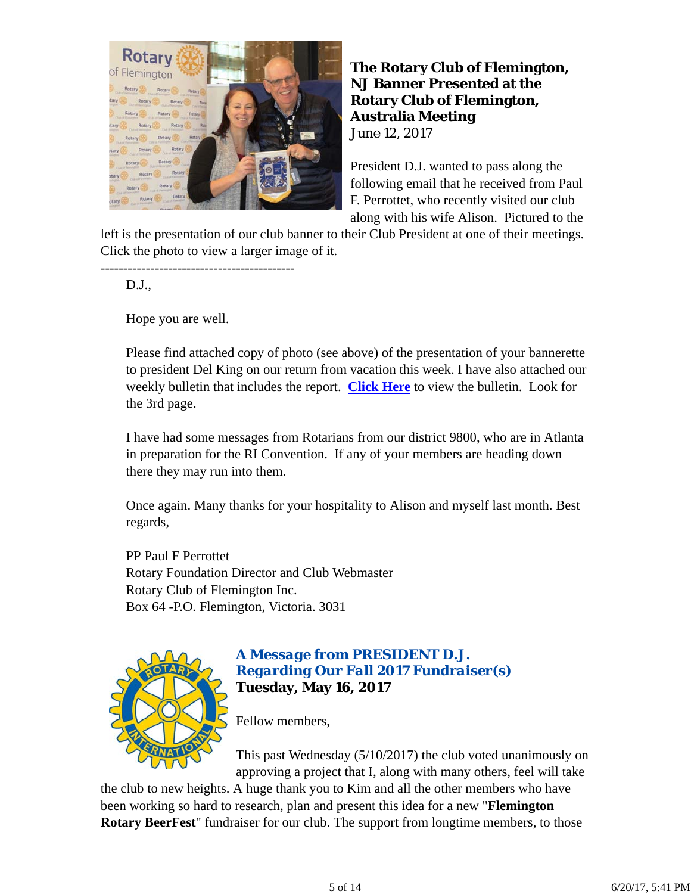

**The Rotary Club of Flemington, NJ Banner Presented at the Rotary Club of Flemington, Australia Meeting** June 12, 2017

President D.J. wanted to pass along the following email that he received from Paul F. Perrottet, who recently visited our club along with his wife Alison. Pictured to the

left is the presentation of our club banner to their Club President at one of their meetings. Click the photo to view a larger image of it.

D.J.,

Hope you are well.

-------------------------------------------

Please find attached copy of photo (see above) of the presentation of your bannerette to president Del King on our return from vacation this week. I have also attached our weekly bulletin that includes the report. **Click Here** to view the bulletin. Look for the 3rd page.

I have had some messages from Rotarians from our district 9800, who are in Atlanta in preparation for the RI Convention. If any of your members are heading down there they may run into them.

Once again. Many thanks for your hospitality to Alison and myself last month. Best regards,

PP Paul F Perrottet Rotary Foundation Director and Club Webmaster Rotary Club of Flemington Inc. Box 64 -P.O. Flemington, Victoria. 3031



# *A Message from PRESIDENT D.J. Regarding Our Fall 2017 Fundraiser(s)* **Tuesday, May 16, 2017**

Fellow members,

This past Wednesday (5/10/2017) the club voted unanimously on approving a project that I, along with many others, feel will take

the club to new heights. A huge thank you to Kim and all the other members who have been working so hard to research, plan and present this idea for a new "**Flemington Rotary BeerFest**" fundraiser for our club. The support from longtime members, to those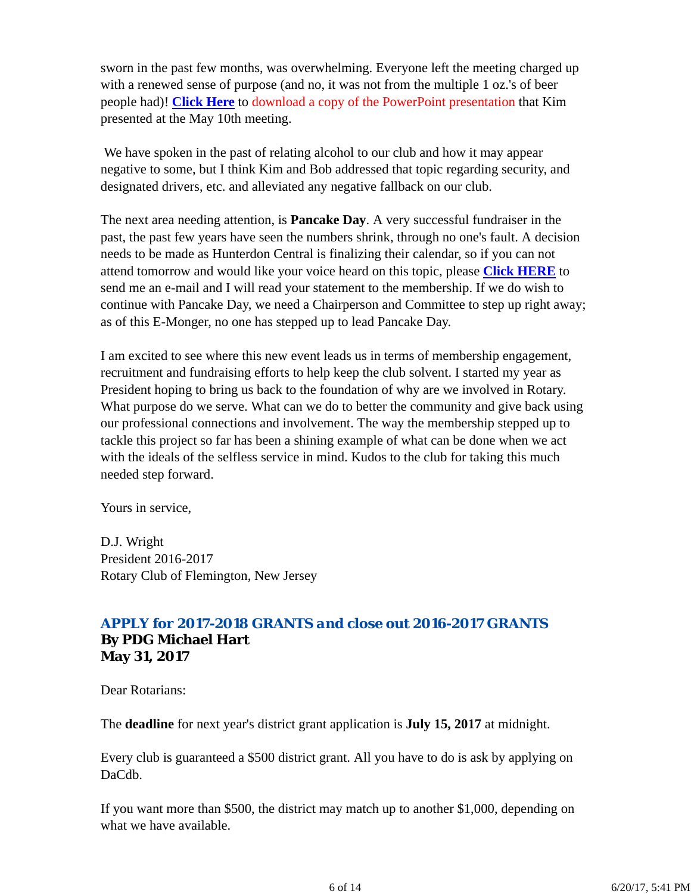sworn in the past few months, was overwhelming. Everyone left the meeting charged up with a renewed sense of purpose (and no, it was not from the multiple 1 oz.'s of beer people had)! **Click Here** to download a copy of the PowerPoint presentation that Kim presented at the May 10th meeting.

 We have spoken in the past of relating alcohol to our club and how it may appear negative to some, but I think Kim and Bob addressed that topic regarding security, and designated drivers, etc. and alleviated any negative fallback on our club.

The next area needing attention, is **Pancake Day**. A very successful fundraiser in the past, the past few years have seen the numbers shrink, through no one's fault. A decision needs to be made as Hunterdon Central is finalizing their calendar, so if you can not attend tomorrow and would like your voice heard on this topic, please **Click HERE** to send me an e-mail and I will read your statement to the membership. If we do wish to continue with Pancake Day, we need a Chairperson and Committee to step up right away; as of this E-Monger, no one has stepped up to lead Pancake Day.

I am excited to see where this new event leads us in terms of membership engagement, recruitment and fundraising efforts to help keep the club solvent. I started my year as President hoping to bring us back to the foundation of why are we involved in Rotary. What purpose do we serve. What can we do to better the community and give back using our professional connections and involvement. The way the membership stepped up to tackle this project so far has been a shining example of what can be done when we act with the ideals of the selfless service in mind. Kudos to the club for taking this much needed step forward.

Yours in service,

D.J. Wright President 2016-2017 Rotary Club of Flemington, New Jersey

# *APPLY for 2017-2018 GRANTS and close out 2016-2017 GRANTS* **By PDG Michael Hart May 31, 2017**

Dear Rotarians:

The **deadline** for next year's district grant application is **July 15, 2017** at midnight.

Every club is guaranteed a \$500 district grant. All you have to do is ask by applying on DaCdb.

If you want more than \$500, the district may match up to another \$1,000, depending on what we have available.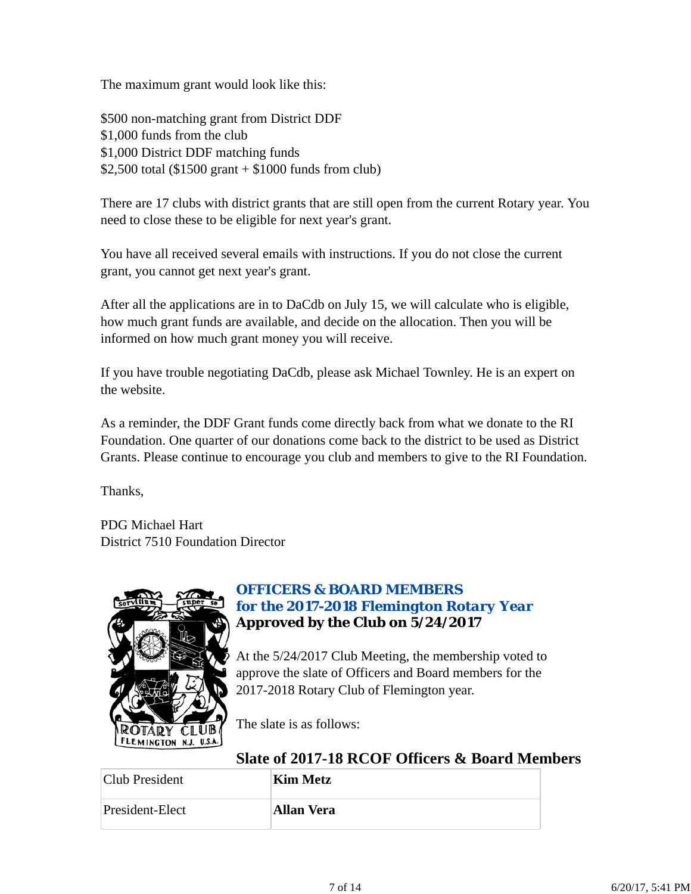The maximum grant would look like this:

\$500 non-matching grant from District DDF \$1,000 funds from the club \$1,000 District DDF matching funds \$2,500 total (\$1500 grant + \$1000 funds from club)

There are 17 clubs with district grants that are still open from the current Rotary year. You need to close these to be eligible for next year's grant.

You have all received several emails with instructions. If you do not close the current grant, you cannot get next year's grant.

After all the applications are in to DaCdb on July 15, we will calculate who is eligible, how much grant funds are available, and decide on the allocation. Then you will be informed on how much grant money you will receive.

If you have trouble negotiating DaCdb, please ask Michael Townley. He is an expert on the website.

As a reminder, the DDF Grant funds come directly back from what we donate to the RI Foundation. One quarter of our donations come back to the district to be used as District Grants. Please continue to encourage you club and members to give to the RI Foundation.

Thanks,

PDG Michael Hart District 7510 Foundation Director



# *OFFICERS & BOARD MEMBERS for the 2017-2018 Flemington Rotary Year* **Approved by the Club on 5/24/2017**

At the 5/24/2017 Club Meeting, the membership voted to approve the slate of Officers and Board members for the 2017-2018 Rotary Club of Flemington year.

The slate is as follows:

# **Slate of 2017-18 RCOF Officers & Board Members**

| Club President  | <b>Kim Metz</b>   |
|-----------------|-------------------|
| President-Elect | <b>Allan Vera</b> |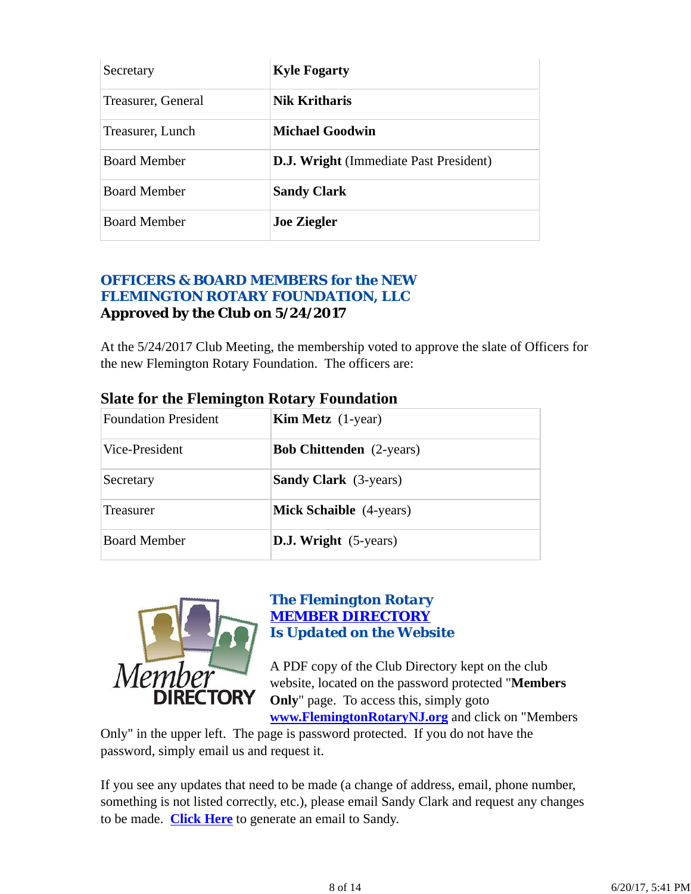| Secretary           | <b>Kyle Fogarty</b>                           |
|---------------------|-----------------------------------------------|
| Treasurer, General  | Nik Kritharis                                 |
| Treasurer, Lunch    | <b>Michael Goodwin</b>                        |
| <b>Board Member</b> | <b>D.J. Wright</b> (Immediate Past President) |
| <b>Board Member</b> | <b>Sandy Clark</b>                            |
| <b>Board Member</b> | <b>Joe Ziegler</b>                            |

# *OFFICERS & BOARD MEMBERS for the NEW FLEMINGTON ROTARY FOUNDATION, LLC* **Approved by the Club on 5/24/2017**

At the 5/24/2017 Club Meeting, the membership voted to approve the slate of Officers for the new Flemington Rotary Foundation. The officers are:

| <b>Foundation President</b> | <b>Kim Metz</b> $(1$ -year)     |  |
|-----------------------------|---------------------------------|--|
| Vice-President              | <b>Bob Chittenden</b> (2-years) |  |
| Secretary                   | <b>Sandy Clark</b> (3-years)    |  |
| <b>Treasurer</b>            | <b>Mick Schaible</b> (4-years)  |  |
| <b>Board Member</b>         | <b>D.J. Wright</b> (5-years)    |  |

# **Slate for the Flemington Rotary Foundation**



## *The Flemington Rotary MEMBER DIRECTORY Is Updated on the Website*

A PDF copy of the Club Directory kept on the club website, located on the password protected "**Members Only**" page. To access this, simply goto **www.FlemingtonRotaryNJ.org** and click on "Members

Only" in the upper left. The page is password protected. If you do not have the password, simply email us and request it.

If you see any updates that need to be made (a change of address, email, phone number, something is not listed correctly, etc.), please email Sandy Clark and request any changes to be made. **Click Here** to generate an email to Sandy.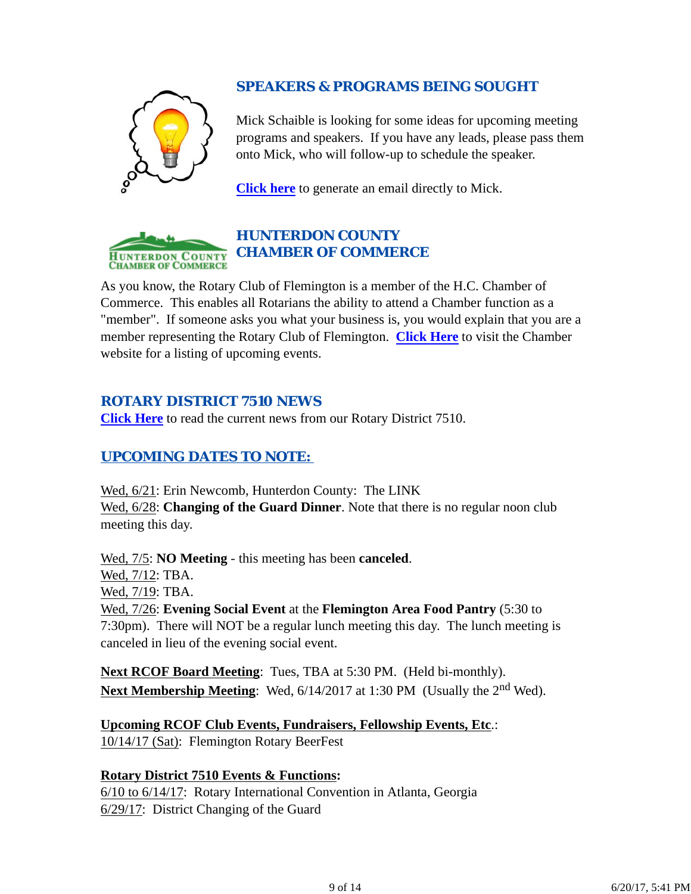# *SPEAKERS & PROGRAMS BEING SOUGHT*

Mick Schaible is looking for some ideas for upcoming meeting programs and speakers. If you have any leads, please pass them onto Mick, who will follow-up to schedule the speaker.

**Click here** to generate an email directly to Mick.



As you know, the Rotary Club of Flemington is a member of the H.C. Chamber of Commerce. This enables all Rotarians the ability to attend a Chamber function as a "member". If someone asks you what your business is, you would explain that you are a member representing the Rotary Club of Flemington. **Click Here** to visit the Chamber website for a listing of upcoming events.

# *ROTARY DISTRICT 7510 NEWS*

**Click Here** to read the current news from our Rotary District 7510.

# *UPCOMING DATES TO NOTE:*

Wed, 6/21: Erin Newcomb, Hunterdon County: The LINK Wed, 6/28: **Changing of the Guard Dinner**. Note that there is no regular noon club meeting this day.

Wed, 7/5: **NO Meeting** - this meeting has been **canceled**. Wed, 7/12: TBA. Wed, 7/19: TBA. Wed, 7/26: **Evening Social Event** at the **Flemington Area Food Pantry** (5:30 to 7:30pm). There will NOT be a regular lunch meeting this day. The lunch meeting is canceled in lieu of the evening social event.

**Next RCOF Board Meeting**: Tues, TBA at 5:30 PM. (Held bi-monthly). **Next Membership Meeting**: Wed, 6/14/2017 at 1:30 PM (Usually the 2<sup>nd</sup> Wed).

**Upcoming RCOF Club Events, Fundraisers, Fellowship Events, Etc**.: 10/14/17 (Sat): Flemington Rotary BeerFest

# **Rotary District 7510 Events & Functions:**

6/10 to 6/14/17: Rotary International Convention in Atlanta, Georgia 6/29/17: District Changing of the Guard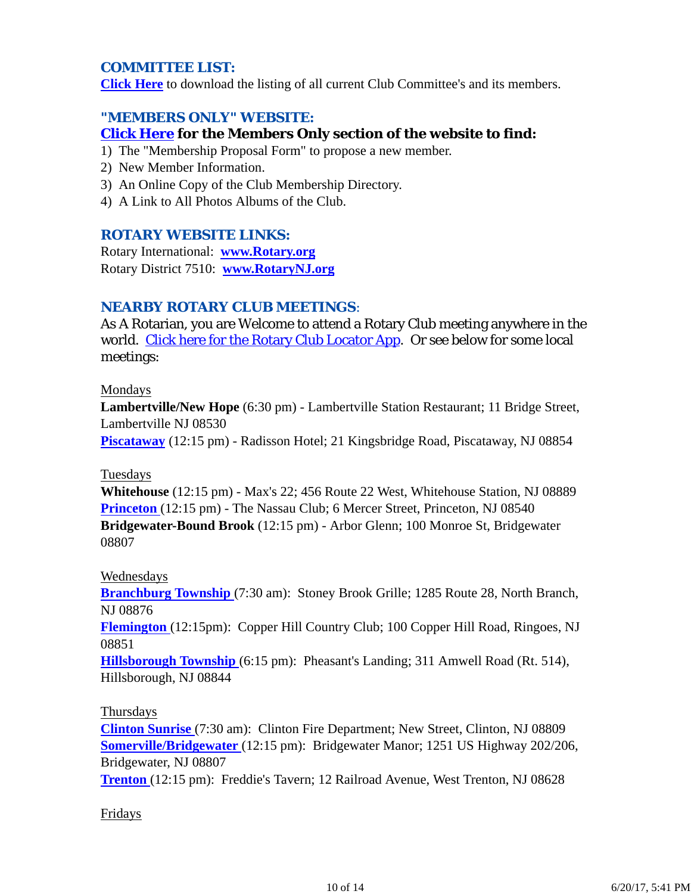## *COMMITTEE LIST:*

**Click Here** to download the listing of all current Club Committee's and its members.

## *"MEMBERS ONLY" WEBSITE:*

## **Click Here for the Members Only section of the website to find:**

- 1) The "Membership Proposal Form" to propose a new member.
- 2) New Member Information.
- 3) An Online Copy of the Club Membership Directory.
- 4) A Link to All Photos Albums of the Club.

#### *ROTARY WEBSITE LINKS:*

Rotary International: **www.Rotary.org** Rotary District 7510: **www.RotaryNJ.org**

## *NEARBY ROTARY CLUB MEETINGS:*

As A Rotarian, you are Welcome to attend a Rotary Club meeting anywhere in the world. Click here for the Rotary Club Locator App. Or see below for some local meetings:

#### Mondays

**Lambertville/New Hope** (6:30 pm) - Lambertville Station Restaurant; 11 Bridge Street, Lambertville NJ 08530

**Piscataway** (12:15 pm) - Radisson Hotel; 21 Kingsbridge Road, Piscataway, NJ 08854

#### Tuesdays

**Whitehouse** (12:15 pm) - Max's 22; 456 Route 22 West, Whitehouse Station, NJ 08889 **Princeton** (12:15 pm) - The Nassau Club; 6 Mercer Street, Princeton, NJ 08540 **Bridgewater-Bound Brook** (12:15 pm) - Arbor Glenn; 100 Monroe St, Bridgewater 08807

#### Wednesdays

**Branchburg Township** (7:30 am): Stoney Brook Grille; 1285 Route 28, North Branch, NJ 08876

**Flemington** (12:15pm): Copper Hill Country Club; 100 Copper Hill Road, Ringoes, NJ 08851

**Hillsborough Township** (6:15 pm): Pheasant's Landing; 311 Amwell Road (Rt. 514), Hillsborough, NJ 08844

#### Thursdays

**Clinton Sunrise** (7:30 am): Clinton Fire Department; New Street, Clinton, NJ 08809 **Somerville/Bridgewater** (12:15 pm): Bridgewater Manor; 1251 US Highway 202/206, Bridgewater, NJ 08807

**Trenton** (12:15 pm): Freddie's Tavern; 12 Railroad Avenue, West Trenton, NJ 08628

#### Fridays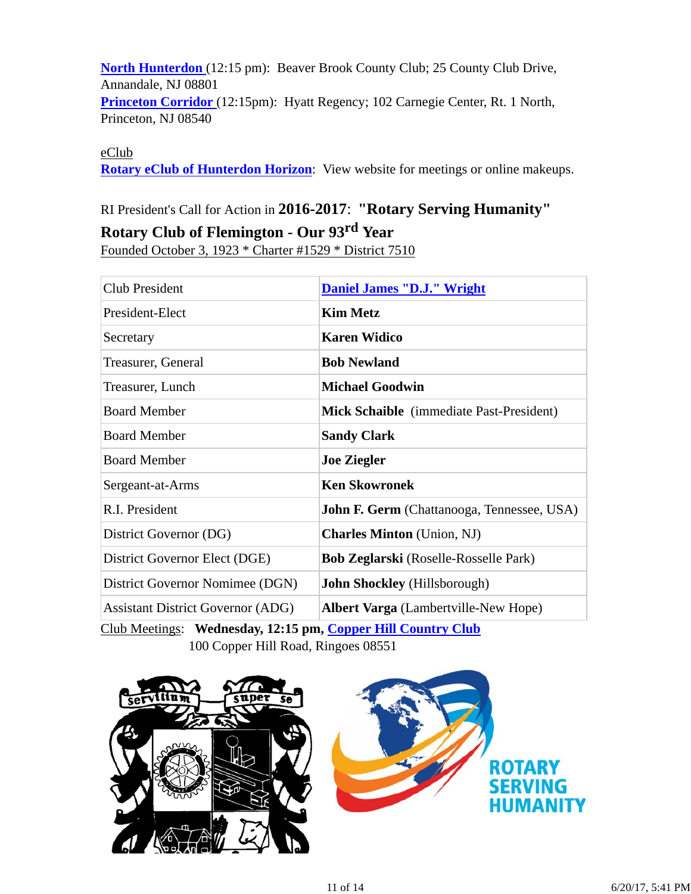**North Hunterdon** (12:15 pm): Beaver Brook County Club; 25 County Club Drive, Annandale, NJ 08801 **Princeton Corridor** (12:15pm): Hyatt Regency; 102 Carnegie Center, Rt. 1 North, Princeton, NJ 08540

eClub

**Rotary eClub of Hunterdon Horizon**: View website for meetings or online makeups.

# RI President's Call for Action in **2016-2017**: **"Rotary Serving Humanity"**

# **Rotary Club of Flemington - Our 93rd Year**

Founded October 3, 1923 \* Charter #1529 \* District 7510

| Club President                           | <b>Daniel James "D.J." Wright</b>                 |  |  |
|------------------------------------------|---------------------------------------------------|--|--|
| President-Elect                          | <b>Kim Metz</b>                                   |  |  |
| Secretary                                | <b>Karen Widico</b>                               |  |  |
| Treasurer, General                       | <b>Bob Newland</b>                                |  |  |
| Treasurer, Lunch                         | <b>Michael Goodwin</b>                            |  |  |
| <b>Board Member</b>                      | <b>Mick Schaible</b> (immediate Past-President)   |  |  |
| <b>Board Member</b>                      | <b>Sandy Clark</b>                                |  |  |
| <b>Board Member</b>                      | <b>Joe Ziegler</b>                                |  |  |
| Sergeant-at-Arms                         | <b>Ken Skowronek</b>                              |  |  |
| R.I. President                           | <b>John F. Germ</b> (Chattanooga, Tennessee, USA) |  |  |
| District Governor (DG)                   | <b>Charles Minton</b> (Union, NJ)                 |  |  |
| District Governor Elect (DGE)            | <b>Bob Zeglarski</b> (Roselle-Rosselle Park)      |  |  |
| District Governor Nomimee (DGN)          | <b>John Shockley</b> (Hillsborough)               |  |  |
| <b>Assistant District Governor (ADG)</b> | <b>Albert Varga</b> (Lambertville-New Hope)       |  |  |

Club Meetings: **Wednesday, 12:15 pm, Copper Hill Country Club** 100 Copper Hill Road, Ringoes 08551



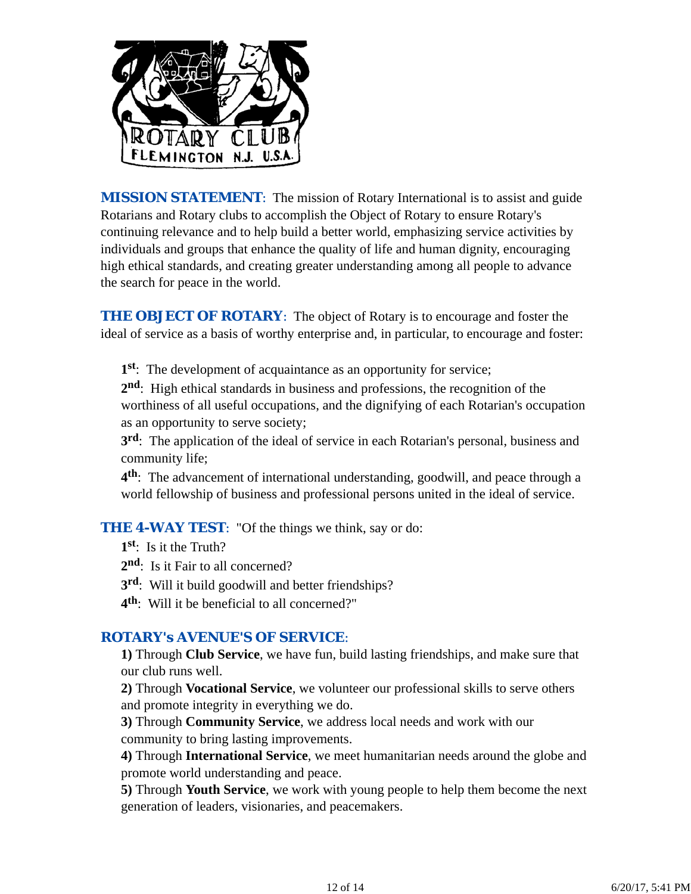

*MISSION STATEMENT*: The mission of Rotary International is to assist and guide Rotarians and Rotary clubs to accomplish the Object of Rotary to ensure Rotary's continuing relevance and to help build a better world, emphasizing service activities by individuals and groups that enhance the quality of life and human dignity, encouraging high ethical standards, and creating greater understanding among all people to advance the search for peace in the world.

**THE OBJECT OF ROTARY:** The object of Rotary is to encourage and foster the ideal of service as a basis of worthy enterprise and, in particular, to encourage and foster:

**1st**: The development of acquaintance as an opportunity for service;

**2nd**: High ethical standards in business and professions, the recognition of the worthiness of all useful occupations, and the dignifying of each Rotarian's occupation as an opportunity to serve society;

**3rd**: The application of the ideal of service in each Rotarian's personal, business and community life;

**4th**: The advancement of international understanding, goodwill, and peace through a world fellowship of business and professional persons united in the ideal of service.

**THE 4-WAY TEST:** "Of the things we think, say or do:

**1st**: Is it the Truth?

2<sup>nd</sup>: Is it Fair to all concerned?

**3rd**: Will it build goodwill and better friendships?

**4th**: Will it be beneficial to all concerned?"

## *ROTARY's AVENUE'S OF SERVICE*:

**1)** Through **Club Service**, we have fun, build lasting friendships, and make sure that our club runs well.

**2)** Through **Vocational Service**, we volunteer our professional skills to serve others and promote integrity in everything we do.

**3)** Through **Community Service**, we address local needs and work with our community to bring lasting improvements.

**4)** Through **International Service**, we meet humanitarian needs around the globe and promote world understanding and peace.

**5)** Through **Youth Service**, we work with young people to help them become the next generation of leaders, visionaries, and peacemakers.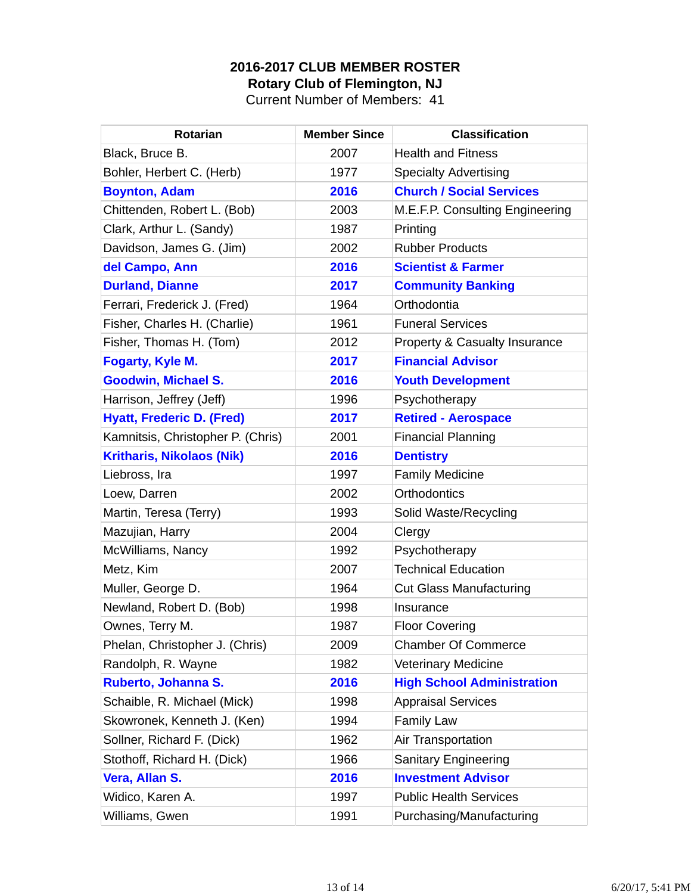## **2016-2017 CLUB MEMBER ROSTER Rotary Club of Flemington, NJ**

Current Number of Members: 41

| <b>Rotarian</b>                   | <b>Member Since</b> | <b>Classification</b>             |
|-----------------------------------|---------------------|-----------------------------------|
| Black, Bruce B.                   | 2007                | <b>Health and Fitness</b>         |
| Bohler, Herbert C. (Herb)         | 1977                | <b>Specialty Advertising</b>      |
| <b>Boynton, Adam</b>              | 2016                | <b>Church / Social Services</b>   |
| Chittenden, Robert L. (Bob)       | 2003                | M.E.F.P. Consulting Engineering   |
| Clark, Arthur L. (Sandy)          | 1987                | Printing                          |
| Davidson, James G. (Jim)          | 2002                | <b>Rubber Products</b>            |
| del Campo, Ann                    | 2016                | <b>Scientist &amp; Farmer</b>     |
| <b>Durland, Dianne</b>            | 2017                | <b>Community Banking</b>          |
| Ferrari, Frederick J. (Fred)      | 1964                | Orthodontia                       |
| Fisher, Charles H. (Charlie)      | 1961                | <b>Funeral Services</b>           |
| Fisher, Thomas H. (Tom)           | 2012                | Property & Casualty Insurance     |
| <b>Fogarty, Kyle M.</b>           | 2017                | <b>Financial Advisor</b>          |
| <b>Goodwin, Michael S.</b>        | 2016                | <b>Youth Development</b>          |
| Harrison, Jeffrey (Jeff)          | 1996                | Psychotherapy                     |
| <b>Hyatt, Frederic D. (Fred)</b>  | 2017                | <b>Retired - Aerospace</b>        |
| Kamnitsis, Christopher P. (Chris) | 2001                | <b>Financial Planning</b>         |
| <b>Kritharis, Nikolaos (Nik)</b>  | 2016                | <b>Dentistry</b>                  |
| Liebross, Ira                     | 1997                | <b>Family Medicine</b>            |
| Loew, Darren                      | 2002                | <b>Orthodontics</b>               |
| Martin, Teresa (Terry)            | 1993                | Solid Waste/Recycling             |
| Mazujian, Harry                   | 2004                | Clergy                            |
| McWilliams, Nancy                 | 1992                | Psychotherapy                     |
| Metz, Kim                         | 2007                | <b>Technical Education</b>        |
| Muller, George D.                 | 1964                | <b>Cut Glass Manufacturing</b>    |
| Newland, Robert D. (Bob)          | 1998                | Insurance                         |
| Ownes, Terry M.                   | 1987                | <b>Floor Covering</b>             |
| Phelan, Christopher J. (Chris)    | 2009                | <b>Chamber Of Commerce</b>        |
| Randolph, R. Wayne                | 1982                | <b>Veterinary Medicine</b>        |
| Ruberto, Johanna S.               | 2016                | <b>High School Administration</b> |
| Schaible, R. Michael (Mick)       | 1998                | <b>Appraisal Services</b>         |
| Skowronek, Kenneth J. (Ken)       | 1994                | <b>Family Law</b>                 |
| Sollner, Richard F. (Dick)        | 1962                | Air Transportation                |
| Stothoff, Richard H. (Dick)       | 1966                | Sanitary Engineering              |
| Vera, Allan S.                    | 2016                | <b>Investment Advisor</b>         |
| Widico, Karen A.                  | 1997                | <b>Public Health Services</b>     |
| Williams, Gwen                    | 1991                | Purchasing/Manufacturing          |